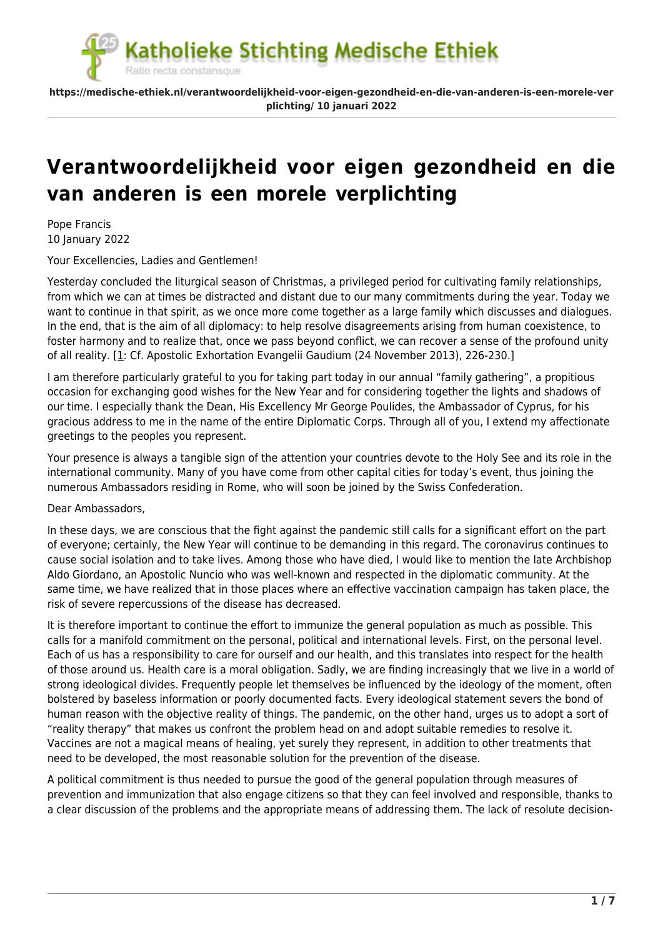**https://medische-ethiek.nl/verantwoordelijkheid-voor-eigen-gezondheid-en-die-van-anderen-is-een-morele-ver plichting/ 10 januari 2022**

# **[Verantwoordelijkheid voor eigen gezondheid en die](https://medische-ethiek.nl/verantwoordelijkheid-voor-eigen-gezondheid-en-die-van-anderen-is-een-morele-verplichting/) [van anderen is een morele verplichting](https://medische-ethiek.nl/verantwoordelijkheid-voor-eigen-gezondheid-en-die-van-anderen-is-een-morele-verplichting/)**

Pope Francis 10 January 2022

Your Excellencies, Ladies and Gentlemen!

Yesterday concluded the liturgical season of Christmas, a privileged period for cultivating family relationships, from which we can at times be distracted and distant due to our many commitments during the year. Today we want to continue in that spirit, as we once more come together as a large family which discusses and dialogues. In the end, that is the aim of all diplomacy: to help resolve disagreements arising from human coexistence, to foster harmony and to realize that, once we pass beyond conflict, we can recover a sense of the profound unity of all reality. [\[1:](#page--1-0) Cf. Apostolic Exhortation Evangelii Gaudium (24 November 2013), 226-230.]

I am therefore particularly grateful to you for taking part today in our annual "family gathering", a propitious occasion for exchanging good wishes for the New Year and for considering together the lights and shadows of our time. I especially thank the Dean, His Excellency Mr George Poulides, the Ambassador of Cyprus, for his gracious address to me in the name of the entire Diplomatic Corps. Through all of you, I extend my affectionate greetings to the peoples you represent.

Your presence is always a tangible sign of the attention your countries devote to the Holy See and its role in the international community. Many of you have come from other capital cities for today's event, thus joining the numerous Ambassadors residing in Rome, who will soon be joined by the Swiss Confederation.

## Dear Ambassadors,

In these days, we are conscious that the fight against the pandemic still calls for a significant effort on the part of everyone; certainly, the New Year will continue to be demanding in this regard. The coronavirus continues to cause social isolation and to take lives. Among those who have died, I would like to mention the late Archbishop Aldo Giordano, an Apostolic Nuncio who was well-known and respected in the diplomatic community. At the same time, we have realized that in those places where an effective vaccination campaign has taken place, the risk of severe repercussions of the disease has decreased.

It is therefore important to continue the effort to immunize the general population as much as possible. This calls for a manifold commitment on the personal, political and international levels. First, on the personal level. Each of us has a responsibility to care for ourself and our health, and this translates into respect for the health of those around us. Health care is a moral obligation. Sadly, we are finding increasingly that we live in a world of strong ideological divides. Frequently people let themselves be influenced by the ideology of the moment, often bolstered by baseless information or poorly documented facts. Every ideological statement severs the bond of human reason with the objective reality of things. The pandemic, on the other hand, urges us to adopt a sort of "reality therapy" that makes us confront the problem head on and adopt suitable remedies to resolve it. Vaccines are not a magical means of healing, yet surely they represent, in addition to other treatments that need to be developed, the most reasonable solution for the prevention of the disease.

A political commitment is thus needed to pursue the good of the general population through measures of prevention and immunization that also engage citizens so that they can feel involved and responsible, thanks to a clear discussion of the problems and the appropriate means of addressing them. The lack of resolute decision-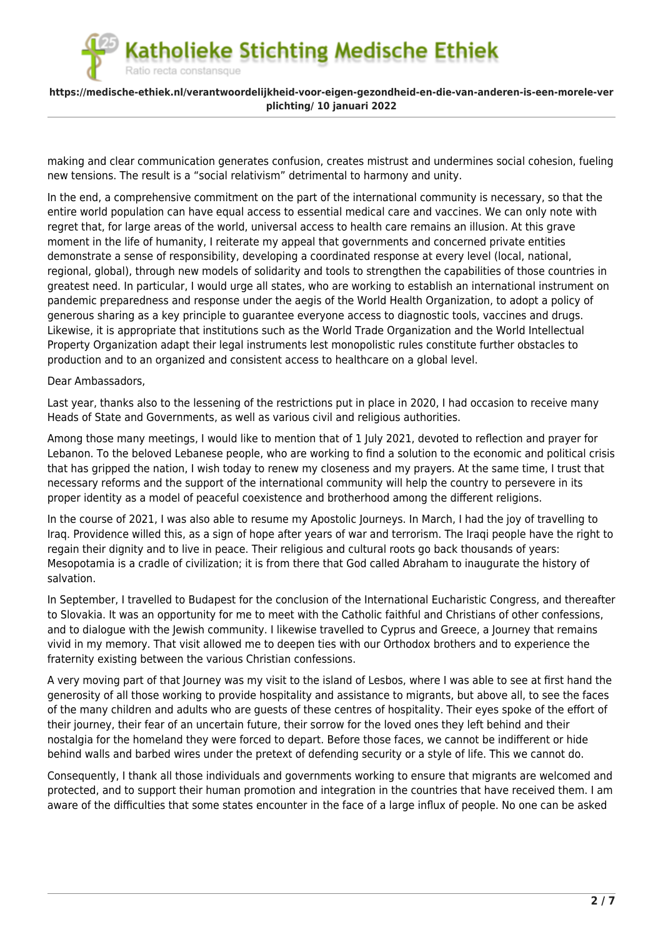Ratio recta constansque

## **https://medische-ethiek.nl/verantwoordelijkheid-voor-eigen-gezondheid-en-die-van-anderen-is-een-morele-ver plichting/ 10 januari 2022**

making and clear communication generates confusion, creates mistrust and undermines social cohesion, fueling new tensions. The result is a "social relativism" detrimental to harmony and unity.

In the end, a comprehensive commitment on the part of the international community is necessary, so that the entire world population can have equal access to essential medical care and vaccines. We can only note with regret that, for large areas of the world, universal access to health care remains an illusion. At this grave moment in the life of humanity, I reiterate my appeal that governments and concerned private entities demonstrate a sense of responsibility, developing a coordinated response at every level (local, national, regional, global), through new models of solidarity and tools to strengthen the capabilities of those countries in greatest need. In particular, I would urge all states, who are working to establish an international instrument on pandemic preparedness and response under the aegis of the World Health Organization, to adopt a policy of generous sharing as a key principle to guarantee everyone access to diagnostic tools, vaccines and drugs. Likewise, it is appropriate that institutions such as the World Trade Organization and the World Intellectual Property Organization adapt their legal instruments lest monopolistic rules constitute further obstacles to production and to an organized and consistent access to healthcare on a global level.

### Dear Ambassadors,

Last year, thanks also to the lessening of the restrictions put in place in 2020, I had occasion to receive many Heads of State and Governments, as well as various civil and religious authorities.

Among those many meetings, I would like to mention that of 1 July 2021, devoted to reflection and prayer for Lebanon. To the beloved Lebanese people, who are working to find a solution to the economic and political crisis that has gripped the nation, I wish today to renew my closeness and my prayers. At the same time, I trust that necessary reforms and the support of the international community will help the country to persevere in its proper identity as a model of peaceful coexistence and brotherhood among the different religions.

In the course of 2021, I was also able to resume my Apostolic Journeys. In March, I had the joy of travelling to Iraq. Providence willed this, as a sign of hope after years of war and terrorism. The Iraqi people have the right to regain their dignity and to live in peace. Their religious and cultural roots go back thousands of years: Mesopotamia is a cradle of civilization; it is from there that God called Abraham to inaugurate the history of salvation.

In September, I travelled to Budapest for the conclusion of the International Eucharistic Congress, and thereafter to Slovakia. It was an opportunity for me to meet with the Catholic faithful and Christians of other confessions, and to dialogue with the Jewish community. I likewise travelled to Cyprus and Greece, a Journey that remains vivid in my memory. That visit allowed me to deepen ties with our Orthodox brothers and to experience the fraternity existing between the various Christian confessions.

A very moving part of that Journey was my visit to the island of Lesbos, where I was able to see at first hand the generosity of all those working to provide hospitality and assistance to migrants, but above all, to see the faces of the many children and adults who are guests of these centres of hospitality. Their eyes spoke of the effort of their journey, their fear of an uncertain future, their sorrow for the loved ones they left behind and their nostalgia for the homeland they were forced to depart. Before those faces, we cannot be indifferent or hide behind walls and barbed wires under the pretext of defending security or a style of life. This we cannot do.

Consequently, I thank all those individuals and governments working to ensure that migrants are welcomed and protected, and to support their human promotion and integration in the countries that have received them. I am aware of the difficulties that some states encounter in the face of a large influx of people. No one can be asked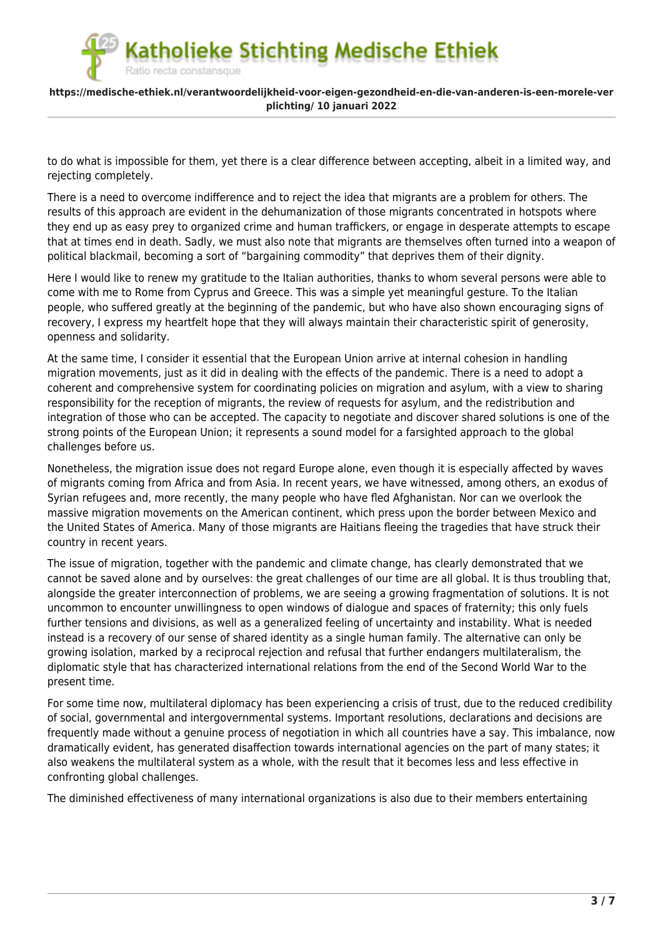Ratio recta constansque

### **https://medische-ethiek.nl/verantwoordelijkheid-voor-eigen-gezondheid-en-die-van-anderen-is-een-morele-ver plichting/ 10 januari 2022**

to do what is impossible for them, yet there is a clear difference between accepting, albeit in a limited way, and rejecting completely.

There is a need to overcome indifference and to reject the idea that migrants are a problem for others. The results of this approach are evident in the dehumanization of those migrants concentrated in hotspots where they end up as easy prey to organized crime and human traffickers, or engage in desperate attempts to escape that at times end in death. Sadly, we must also note that migrants are themselves often turned into a weapon of political blackmail, becoming a sort of "bargaining commodity" that deprives them of their dignity.

Here I would like to renew my gratitude to the Italian authorities, thanks to whom several persons were able to come with me to Rome from Cyprus and Greece. This was a simple yet meaningful gesture. To the Italian people, who suffered greatly at the beginning of the pandemic, but who have also shown encouraging signs of recovery, I express my heartfelt hope that they will always maintain their characteristic spirit of generosity, openness and solidarity.

At the same time, I consider it essential that the European Union arrive at internal cohesion in handling migration movements, just as it did in dealing with the effects of the pandemic. There is a need to adopt a coherent and comprehensive system for coordinating policies on migration and asylum, with a view to sharing responsibility for the reception of migrants, the review of requests for asylum, and the redistribution and integration of those who can be accepted. The capacity to negotiate and discover shared solutions is one of the strong points of the European Union; it represents a sound model for a farsighted approach to the global challenges before us.

Nonetheless, the migration issue does not regard Europe alone, even though it is especially affected by waves of migrants coming from Africa and from Asia. In recent years, we have witnessed, among others, an exodus of Syrian refugees and, more recently, the many people who have fled Afghanistan. Nor can we overlook the massive migration movements on the American continent, which press upon the border between Mexico and the United States of America. Many of those migrants are Haitians fleeing the tragedies that have struck their country in recent years.

The issue of migration, together with the pandemic and climate change, has clearly demonstrated that we cannot be saved alone and by ourselves: the great challenges of our time are all global. It is thus troubling that, alongside the greater interconnection of problems, we are seeing a growing fragmentation of solutions. It is not uncommon to encounter unwillingness to open windows of dialogue and spaces of fraternity; this only fuels further tensions and divisions, as well as a generalized feeling of uncertainty and instability. What is needed instead is a recovery of our sense of shared identity as a single human family. The alternative can only be growing isolation, marked by a reciprocal rejection and refusal that further endangers multilateralism, the diplomatic style that has characterized international relations from the end of the Second World War to the present time.

For some time now, multilateral diplomacy has been experiencing a crisis of trust, due to the reduced credibility of social, governmental and intergovernmental systems. Important resolutions, declarations and decisions are frequently made without a genuine process of negotiation in which all countries have a say. This imbalance, now dramatically evident, has generated disaffection towards international agencies on the part of many states; it also weakens the multilateral system as a whole, with the result that it becomes less and less effective in confronting global challenges.

The diminished effectiveness of many international organizations is also due to their members entertaining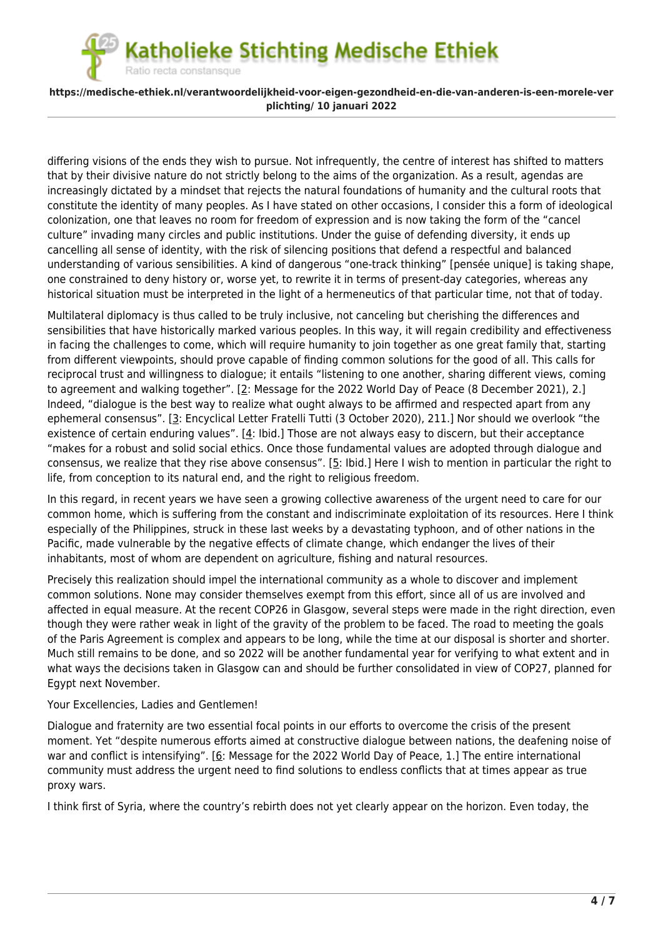Ratio recta constansque

## **https://medische-ethiek.nl/verantwoordelijkheid-voor-eigen-gezondheid-en-die-van-anderen-is-een-morele-ver plichting/ 10 januari 2022**

differing visions of the ends they wish to pursue. Not infrequently, the centre of interest has shifted to matters that by their divisive nature do not strictly belong to the aims of the organization. As a result, agendas are increasingly dictated by a mindset that rejects the natural foundations of humanity and the cultural roots that constitute the identity of many peoples. As I have stated on other occasions, I consider this a form of ideological colonization, one that leaves no room for freedom of expression and is now taking the form of the "cancel culture" invading many circles and public institutions. Under the guise of defending diversity, it ends up cancelling all sense of identity, with the risk of silencing positions that defend a respectful and balanced understanding of various sensibilities. A kind of dangerous "one-track thinking" [pensée unique] is taking shape, one constrained to deny history or, worse yet, to rewrite it in terms of present-day categories, whereas any historical situation must be interpreted in the light of a hermeneutics of that particular time, not that of today.

Multilateral diplomacy is thus called to be truly inclusive, not canceling but cherishing the differences and sensibilities that have historically marked various peoples. In this way, it will regain credibility and effectiveness in facing the challenges to come, which will require humanity to join together as one great family that, starting from different viewpoints, should prove capable of finding common solutions for the good of all. This calls for reciprocal trust and willingness to dialogue; it entails "listening to one another, sharing different views, coming to agreement and walking together". [[2](#page--1-0): Message for the 2022 World Day of Peace (8 December 2021), 2.] Indeed, "dialogue is the best way to realize what ought always to be affirmed and respected apart from any ephemeral consensus". [[3:](#page--1-0) Encyclical Letter Fratelli Tutti (3 October 2020), 211.] Nor should we overlook "the existence of certain enduring values". [[4](#page--1-0): Ibid.] Those are not always easy to discern, but their acceptance "makes for a robust and solid social ethics. Once those fundamental values are adopted through dialogue and consensus, we realize that they rise above consensus". [[5:](#page--1-0) Ibid.] Here I wish to mention in particular the right to life, from conception to its natural end, and the right to religious freedom.

In this regard, in recent years we have seen a growing collective awareness of the urgent need to care for our common home, which is suffering from the constant and indiscriminate exploitation of its resources. Here I think especially of the Philippines, struck in these last weeks by a devastating typhoon, and of other nations in the Pacific, made vulnerable by the negative effects of climate change, which endanger the lives of their inhabitants, most of whom are dependent on agriculture, fishing and natural resources.

Precisely this realization should impel the international community as a whole to discover and implement common solutions. None may consider themselves exempt from this effort, since all of us are involved and affected in equal measure. At the recent COP26 in Glasgow, several steps were made in the right direction, even though they were rather weak in light of the gravity of the problem to be faced. The road to meeting the goals of the Paris Agreement is complex and appears to be long, while the time at our disposal is shorter and shorter. Much still remains to be done, and so 2022 will be another fundamental year for verifying to what extent and in what ways the decisions taken in Glasgow can and should be further consolidated in view of COP27, planned for Egypt next November.

## Your Excellencies, Ladies and Gentlemen!

Dialogue and fraternity are two essential focal points in our efforts to overcome the crisis of the present moment. Yet "despite numerous efforts aimed at constructive dialogue between nations, the deafening noise of war and conflict is intensifying". [[6:](#page--1-0) Message for the 2022 World Day of Peace, 1.] The entire international community must address the urgent need to find solutions to endless conflicts that at times appear as true proxy wars.

I think first of Syria, where the country's rebirth does not yet clearly appear on the horizon. Even today, the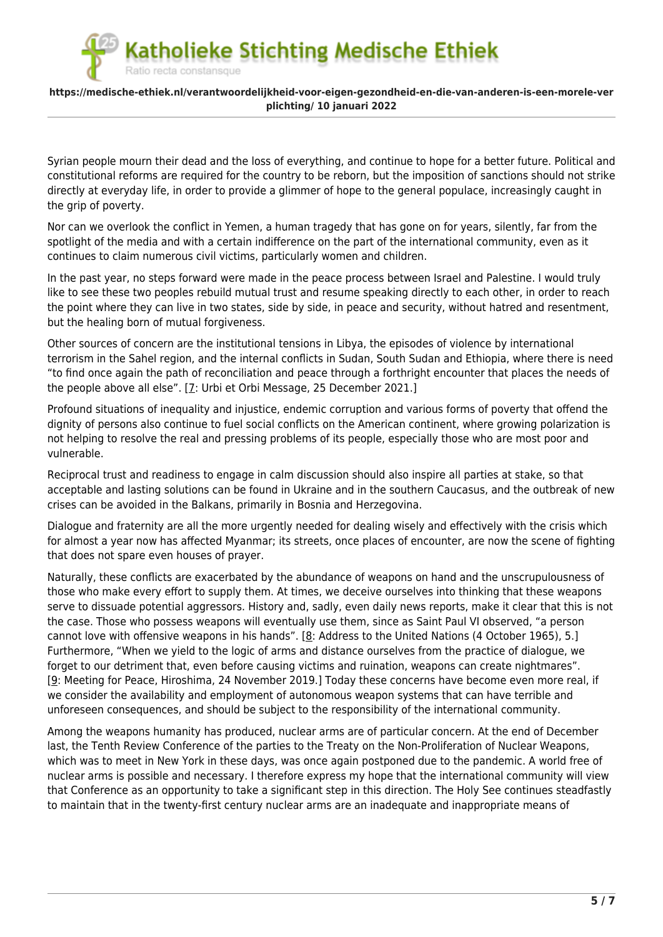### **https://medische-ethiek.nl/verantwoordelijkheid-voor-eigen-gezondheid-en-die-van-anderen-is-een-morele-ver plichting/ 10 januari 2022**

Ratio recta constansque

Syrian people mourn their dead and the loss of everything, and continue to hope for a better future. Political and constitutional reforms are required for the country to be reborn, but the imposition of sanctions should not strike directly at everyday life, in order to provide a glimmer of hope to the general populace, increasingly caught in the grip of poverty.

Nor can we overlook the conflict in Yemen, a human tragedy that has gone on for years, silently, far from the spotlight of the media and with a certain indifference on the part of the international community, even as it continues to claim numerous civil victims, particularly women and children.

In the past year, no steps forward were made in the peace process between Israel and Palestine. I would truly like to see these two peoples rebuild mutual trust and resume speaking directly to each other, in order to reach the point where they can live in two states, side by side, in peace and security, without hatred and resentment, but the healing born of mutual forgiveness.

Other sources of concern are the institutional tensions in Libya, the episodes of violence by international terrorism in the Sahel region, and the internal conflicts in Sudan, South Sudan and Ethiopia, where there is need "to find once again the path of reconciliation and peace through a forthright encounter that places the needs of the people above all else". [\[7](#page--1-0): Urbi et Orbi Message, 25 December 2021.]

Profound situations of inequality and injustice, endemic corruption and various forms of poverty that offend the dignity of persons also continue to fuel social conflicts on the American continent, where growing polarization is not helping to resolve the real and pressing problems of its people, especially those who are most poor and vulnerable.

Reciprocal trust and readiness to engage in calm discussion should also inspire all parties at stake, so that acceptable and lasting solutions can be found in Ukraine and in the southern Caucasus, and the outbreak of new crises can be avoided in the Balkans, primarily in Bosnia and Herzegovina.

Dialogue and fraternity are all the more urgently needed for dealing wisely and effectively with the crisis which for almost a year now has affected Myanmar; its streets, once places of encounter, are now the scene of fighting that does not spare even houses of prayer.

Naturally, these conflicts are exacerbated by the abundance of weapons on hand and the unscrupulousness of those who make every effort to supply them. At times, we deceive ourselves into thinking that these weapons serve to dissuade potential aggressors. History and, sadly, even daily news reports, make it clear that this is not the case. Those who possess weapons will eventually use them, since as Saint Paul VI observed, "a person cannot love with offensive weapons in his hands". [[8](#page--1-0): Address to the United Nations (4 October 1965), 5.] Furthermore, "When we yield to the logic of arms and distance ourselves from the practice of dialogue, we forget to our detriment that, even before causing victims and ruination, weapons can create nightmares". [\[9:](#page--1-0) Meeting for Peace, Hiroshima, 24 November 2019.] Today these concerns have become even more real, if we consider the availability and employment of autonomous weapon systems that can have terrible and unforeseen consequences, and should be subject to the responsibility of the international community.

Among the weapons humanity has produced, nuclear arms are of particular concern. At the end of December last, the Tenth Review Conference of the parties to the Treaty on the Non-Proliferation of Nuclear Weapons, which was to meet in New York in these days, was once again postponed due to the pandemic. A world free of nuclear arms is possible and necessary. I therefore express my hope that the international community will view that Conference as an opportunity to take a significant step in this direction. The Holy See continues steadfastly to maintain that in the twenty-first century nuclear arms are an inadequate and inappropriate means of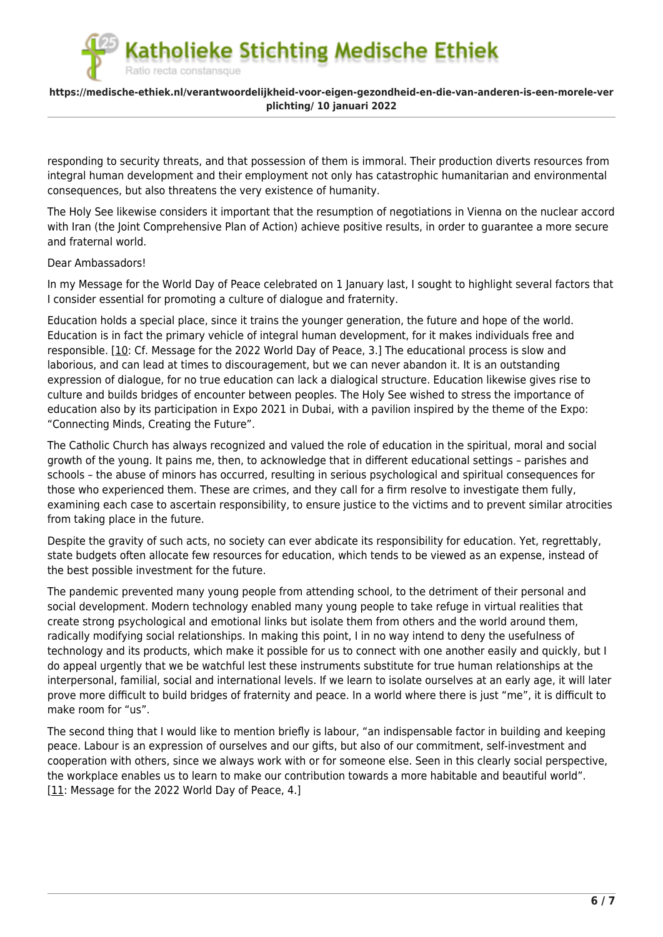### **https://medische-ethiek.nl/verantwoordelijkheid-voor-eigen-gezondheid-en-die-van-anderen-is-een-morele-ver plichting/ 10 januari 2022**

responding to security threats, and that possession of them is immoral. Their production diverts resources from integral human development and their employment not only has catastrophic humanitarian and environmental consequences, but also threatens the very existence of humanity.

The Holy See likewise considers it important that the resumption of negotiations in Vienna on the nuclear accord with Iran (the Joint Comprehensive Plan of Action) achieve positive results, in order to guarantee a more secure and fraternal world.

### Dear Ambassadors!

Ratio recta constansque

In my Message for the World Day of Peace celebrated on 1 January last, I sought to highlight several factors that I consider essential for promoting a culture of dialogue and fraternity.

Education holds a special place, since it trains the younger generation, the future and hope of the world. Education is in fact the primary vehicle of integral human development, for it makes individuals free and responsible. [[10:](#page--1-0) Cf. Message for the 2022 World Day of Peace, 3.] The educational process is slow and laborious, and can lead at times to discouragement, but we can never abandon it. It is an outstanding expression of dialogue, for no true education can lack a dialogical structure. Education likewise gives rise to culture and builds bridges of encounter between peoples. The Holy See wished to stress the importance of education also by its participation in Expo 2021 in Dubai, with a pavilion inspired by the theme of the Expo: "Connecting Minds, Creating the Future".

The Catholic Church has always recognized and valued the role of education in the spiritual, moral and social growth of the young. It pains me, then, to acknowledge that in different educational settings – parishes and schools – the abuse of minors has occurred, resulting in serious psychological and spiritual consequences for those who experienced them. These are crimes, and they call for a firm resolve to investigate them fully, examining each case to ascertain responsibility, to ensure justice to the victims and to prevent similar atrocities from taking place in the future.

Despite the gravity of such acts, no society can ever abdicate its responsibility for education. Yet, regrettably, state budgets often allocate few resources for education, which tends to be viewed as an expense, instead of the best possible investment for the future.

The pandemic prevented many young people from attending school, to the detriment of their personal and social development. Modern technology enabled many young people to take refuge in virtual realities that create strong psychological and emotional links but isolate them from others and the world around them, radically modifying social relationships. In making this point, I in no way intend to deny the usefulness of technology and its products, which make it possible for us to connect with one another easily and quickly, but I do appeal urgently that we be watchful lest these instruments substitute for true human relationships at the interpersonal, familial, social and international levels. If we learn to isolate ourselves at an early age, it will later prove more difficult to build bridges of fraternity and peace. In a world where there is just "me", it is difficult to make room for "us".

The second thing that I would like to mention briefly is labour, "an indispensable factor in building and keeping peace. Labour is an expression of ourselves and our gifts, but also of our commitment, self-investment and cooperation with others, since we always work with or for someone else. Seen in this clearly social perspective, the workplace enables us to learn to make our contribution towards a more habitable and beautiful world". [\[11](#page--1-0): Message for the 2022 World Day of Peace, 4.]